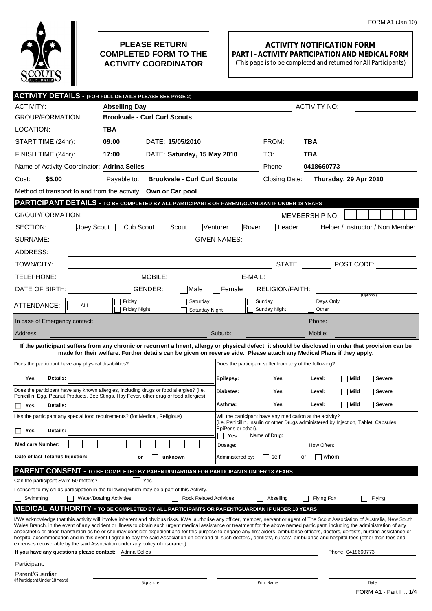

## **PLEASE RETURN COMPLETED FORM TO THE ACTIVITY COORDINATOR**

## **ACTIVITY NOTIFICATION FORM PART I - ACTIVITY PARTICIPATION AND MEDICAL FORM**

(This page is to be completed and returned for All Participants)

| <b>ACTIVITY DETAILS - (FOR FULL DETAILS PLEASE SEE PAGE 2)</b>                                                                                                                                                                                                                                                                                                         |                                                                                                                      |                                     |                                                   |                                                                                                                                                    |                       |                               |  |  |  |  |
|------------------------------------------------------------------------------------------------------------------------------------------------------------------------------------------------------------------------------------------------------------------------------------------------------------------------------------------------------------------------|----------------------------------------------------------------------------------------------------------------------|-------------------------------------|---------------------------------------------------|----------------------------------------------------------------------------------------------------------------------------------------------------|-----------------------|-------------------------------|--|--|--|--|
| <b>ACTIVITY:</b>                                                                                                                                                                                                                                                                                                                                                       | <b>Abseiling Day</b>                                                                                                 |                                     |                                                   | <b>ACTIVITY NO:</b>                                                                                                                                |                       |                               |  |  |  |  |
| <b>GROUP/FORMATION:</b>                                                                                                                                                                                                                                                                                                                                                | <b>Brookvale - Curl Curl Scouts</b>                                                                                  |                                     |                                                   |                                                                                                                                                    |                       |                               |  |  |  |  |
| LOCATION:                                                                                                                                                                                                                                                                                                                                                              | TBA                                                                                                                  |                                     |                                                   |                                                                                                                                                    |                       |                               |  |  |  |  |
| START TIME (24hr):                                                                                                                                                                                                                                                                                                                                                     | 09:00<br>DATE: 15/05/2010                                                                                            |                                     |                                                   | FROM:                                                                                                                                              | TBA                   |                               |  |  |  |  |
| FINISH TIME (24hr):                                                                                                                                                                                                                                                                                                                                                    | 17:00                                                                                                                | DATE: Saturday, 15 May 2010         |                                                   | TO:                                                                                                                                                | TBA                   |                               |  |  |  |  |
| Name of Activity Coordinator: Adrina Selles                                                                                                                                                                                                                                                                                                                            |                                                                                                                      |                                     |                                                   | Phone:                                                                                                                                             | 0418660773            |                               |  |  |  |  |
| \$5.00<br>Cost:                                                                                                                                                                                                                                                                                                                                                        | Payable to:                                                                                                          | <b>Brookvale - Curl Curl Scouts</b> |                                                   | Closing Date:                                                                                                                                      | Thursday, 29 Apr 2010 |                               |  |  |  |  |
| Method of transport to and from the activity: Own or Car pool                                                                                                                                                                                                                                                                                                          |                                                                                                                      |                                     |                                                   |                                                                                                                                                    |                       |                               |  |  |  |  |
| PARTICIPANT DETAILS - TO BE COMPLETED BY ALL PARTICIPANTS OR PARENT/GUARDIAN IF UNDER 18 YEARS                                                                                                                                                                                                                                                                         |                                                                                                                      |                                     |                                                   |                                                                                                                                                    |                       |                               |  |  |  |  |
| <b>GROUP/FORMATION:</b>                                                                                                                                                                                                                                                                                                                                                |                                                                                                                      |                                     |                                                   |                                                                                                                                                    | MEMBERSHIP NO.        |                               |  |  |  |  |
| $\Box$ Scout<br>$\Box$ Venturer $\Box$ Rover<br>Cub Scout  <br>SECTION:<br>Joey Scout  <br>Helper / Instructor / Non Member<br>Leader                                                                                                                                                                                                                                  |                                                                                                                      |                                     |                                                   |                                                                                                                                                    |                       |                               |  |  |  |  |
| SURNAME:<br><b>GIVEN NAMES:</b>                                                                                                                                                                                                                                                                                                                                        |                                                                                                                      |                                     |                                                   |                                                                                                                                                    |                       |                               |  |  |  |  |
| ADDRESS:                                                                                                                                                                                                                                                                                                                                                               |                                                                                                                      |                                     |                                                   |                                                                                                                                                    |                       |                               |  |  |  |  |
| TOWN/CITY:                                                                                                                                                                                                                                                                                                                                                             |                                                                                                                      |                                     |                                                   |                                                                                                                                                    |                       | STATE: $\Box$ POST CODE:      |  |  |  |  |
| TELEPHONE:                                                                                                                                                                                                                                                                                                                                                             | MOBILE:<br>E-MAIL:                                                                                                   |                                     |                                                   |                                                                                                                                                    |                       |                               |  |  |  |  |
| DATE OF BIRTH:                                                                                                                                                                                                                                                                                                                                                         | GENDER:                                                                                                              | Male                                | Female                                            | <b>RELIGION/FAITH:</b>                                                                                                                             |                       |                               |  |  |  |  |
| ATTENDANCE:<br><b>ALL</b>                                                                                                                                                                                                                                                                                                                                              | Friday                                                                                                               | Saturday                            |                                                   | Sunday                                                                                                                                             | Days Only             | (Optional)                    |  |  |  |  |
|                                                                                                                                                                                                                                                                                                                                                                        | <b>Friday Night</b>                                                                                                  | <b>Saturday Night</b>               |                                                   | Sunday Night                                                                                                                                       | Other                 |                               |  |  |  |  |
| In case of Emergency contact:                                                                                                                                                                                                                                                                                                                                          |                                                                                                                      |                                     |                                                   |                                                                                                                                                    | Phone:                |                               |  |  |  |  |
| Address:                                                                                                                                                                                                                                                                                                                                                               |                                                                                                                      |                                     | Suburb:                                           |                                                                                                                                                    | Mobile:               |                               |  |  |  |  |
| If the participant suffers from any chronic or recurrent ailment, allergy or physical defect, it should be disclosed in order that provision can be                                                                                                                                                                                                                    | made for their welfare. Further details can be given on reverse side. Please attach any Medical Plans if they apply. |                                     |                                                   |                                                                                                                                                    |                       |                               |  |  |  |  |
| Does the participant have any physical disabilities?                                                                                                                                                                                                                                                                                                                   |                                                                                                                      |                                     |                                                   | Does the participant suffer from any of the following?                                                                                             |                       |                               |  |  |  |  |
| Yes<br>Details:                                                                                                                                                                                                                                                                                                                                                        |                                                                                                                      |                                     | Epilepsy:                                         |                                                                                                                                                    | Level:                | Mild                          |  |  |  |  |
| Does the participant have any known allergies, including drugs or food allergies? (i.e.                                                                                                                                                                                                                                                                                |                                                                                                                      |                                     |                                                   | Yes                                                                                                                                                |                       | Severe                        |  |  |  |  |
| Penicillin, Egg, Peanut Products, Bee Stings, Hay Fever, other drug or food allergies):                                                                                                                                                                                                                                                                                |                                                                                                                      |                                     | Diabetes:                                         | Yes                                                                                                                                                | Level:                | Mild<br><b>Severe</b>         |  |  |  |  |
| Yes<br>Details:                                                                                                                                                                                                                                                                                                                                                        |                                                                                                                      |                                     | Asthma:<br>Mild<br><b>Severe</b><br>Yes<br>Level: |                                                                                                                                                    |                       |                               |  |  |  |  |
| Has the participant any special food requirements? (for Medical, Religious)                                                                                                                                                                                                                                                                                            |                                                                                                                      |                                     |                                                   | Will the participant have any medication at the activity?<br>(i.e. Penicillin, Insulin or other Drugs administered by Injection, Tablet, Capsules, |                       |                               |  |  |  |  |
| Yes<br>Details:                                                                                                                                                                                                                                                                                                                                                        |                                                                                                                      |                                     | EpiPens or other).<br>Yes                         | Name of Drug:                                                                                                                                      |                       |                               |  |  |  |  |
| <b>Medicare Number:</b>                                                                                                                                                                                                                                                                                                                                                |                                                                                                                      |                                     | Dosage:                                           |                                                                                                                                                    | How Often:            |                               |  |  |  |  |
| Date of last Tetanus Injection:                                                                                                                                                                                                                                                                                                                                        | unknown<br>or                                                                                                        |                                     | Administered by:                                  | self                                                                                                                                               | whom:<br>or           |                               |  |  |  |  |
| PARENT CONSENT - TO BE COMPLETED BY PARENT/GUARDIAN FOR PARTICIPANTS UNDER 18 YEARS                                                                                                                                                                                                                                                                                    |                                                                                                                      |                                     |                                                   |                                                                                                                                                    |                       |                               |  |  |  |  |
| Can the participant Swim 50 meters?                                                                                                                                                                                                                                                                                                                                    | Yes                                                                                                                  |                                     |                                                   |                                                                                                                                                    |                       |                               |  |  |  |  |
| I consent to my childs participation in the following which may be a part of this Activity.                                                                                                                                                                                                                                                                            |                                                                                                                      |                                     |                                                   |                                                                                                                                                    |                       |                               |  |  |  |  |
| Swimming<br><b>MEDICAL AUTHORITY - TO BE COMPLETED BY ALL PARTICIPANTS OR PARENT/GUARDIAN IF UNDER 18 YEARS</b>                                                                                                                                                                                                                                                        | <b>Water/Boating Activities</b>                                                                                      | <b>Rock Related Activities</b>      |                                                   | Abseiling                                                                                                                                          | <b>Flying Fox</b>     | Flying                        |  |  |  |  |
| I/We acknowledge that this activity will involve inherent and obvious risks. I/We authorise any officer, member, servant or agent of The Scout Association of Australia, New South                                                                                                                                                                                     |                                                                                                                      |                                     |                                                   |                                                                                                                                                    |                       |                               |  |  |  |  |
| Wales Branch, in the event of any accident or illness to obtain such urgent medical assistance or treatment for the above named participant, including the administration of any<br>anaesthetic or blood transfusion as he or she may consider expedient and for this purpose to engage any first aiders, ambulance officers, doctors, dentists, nursing assistance or |                                                                                                                      |                                     |                                                   |                                                                                                                                                    |                       |                               |  |  |  |  |
| hospital accommodation and in this event I agree to pay the said Association on demand all such doctors', dentists', nurses', ambulance and hospital fees (other than fees and<br>expenses recoverable by the said Association under any policy of insurance).                                                                                                         |                                                                                                                      |                                     |                                                   |                                                                                                                                                    |                       |                               |  |  |  |  |
| If you have any questions please contact: Adrina Selles                                                                                                                                                                                                                                                                                                                |                                                                                                                      |                                     |                                                   |                                                                                                                                                    |                       | Phone 0418660773              |  |  |  |  |
| Participant:                                                                                                                                                                                                                                                                                                                                                           |                                                                                                                      |                                     |                                                   |                                                                                                                                                    |                       |                               |  |  |  |  |
| Parent/Guardian<br>(If Participant Under 18 Years)                                                                                                                                                                                                                                                                                                                     |                                                                                                                      |                                     |                                                   |                                                                                                                                                    |                       |                               |  |  |  |  |
|                                                                                                                                                                                                                                                                                                                                                                        | Signature                                                                                                            |                                     |                                                   | Print Name                                                                                                                                         |                       | Date<br>FORM A1 - Part I  1/4 |  |  |  |  |